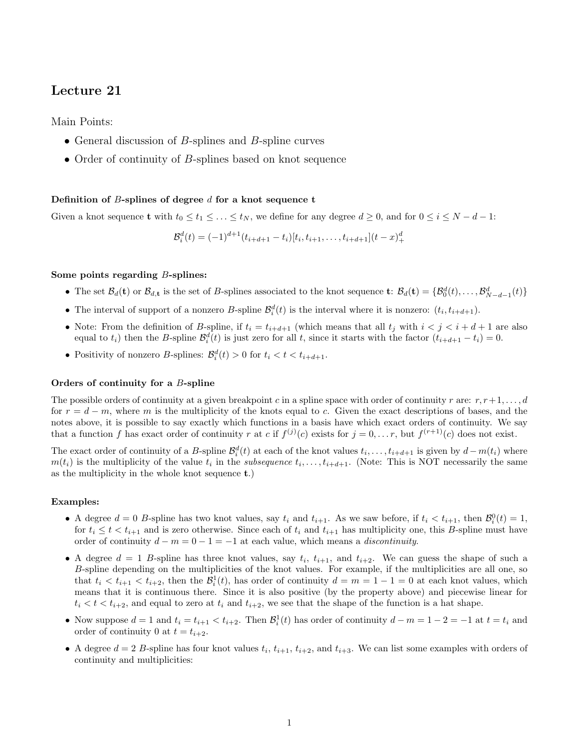# Lecture 21

Main Points:

- General discussion of  $B$ -splines and  $B$ -spline curves
- Order of continuity of B-splines based on knot sequence

## Definition of  $B$ -splines of degree  $d$  for a knot sequence t

Given a knot sequence **t** with  $t_0 \le t_1 \le \ldots \le t_N$ , we define for any degree  $d \ge 0$ , and for  $0 \le i \le N - d - 1$ :

$$
\mathcal{B}_i^d(t) = (-1)^{d+1} (t_{i+d+1} - t_i)[t_i, t_{i+1}, \dots, t_{i+d+1}](t-x)_+^d
$$

# Some points regarding B-splines:

- The set  $\mathcal{B}_d(\mathbf{t})$  or  $\mathcal{B}_{d,\mathbf{t}}$  is the set of B-splines associated to the knot sequence  $\mathbf{t}: \mathcal{B}_d(\mathbf{t}) = {\mathcal{B}_0^d(t), \ldots, \mathcal{B}_{N-d-1}^d(t)}$
- The interval of support of a nonzero B-spline  $\mathcal{B}_i^d(t)$  is the interval where it is nonzero:  $(t_i, t_{i+d+1})$ .
- Note: From the definition of B-spline, if  $t_i = t_{i+d+1}$  (which means that all  $t_j$  with  $i < j < i+d+1$  are also equal to  $t_i$ ) then the B-spline  $\mathcal{B}_i^d(t)$  is just zero for all t, since it starts with the factor  $(t_{i+d+1} - t_i) = 0$ .
- Positivity of nonzero B-splines:  $\mathcal{B}_i^d(t) > 0$  for  $t_i < t < t_{i+d+1}$ .

### Orders of continuity for a B-spline

The possible orders of continuity at a given breakpoint c in a spline space with order of continuity r are:  $r, r+1, \ldots, d$ for  $r = d - m$ , where m is the multiplicity of the knots equal to c. Given the exact descriptions of bases, and the notes above, it is possible to say exactly which functions in a basis have which exact orders of continuity. We say that a function f has exact order of continuity r at c if  $f^{(j)}(c)$  exists for  $j = 0, \ldots r$ , but  $f^{(r+1)}(c)$  does not exist.

The exact order of continuity of a B-spline  $\mathcal{B}_i^d(t)$  at each of the knot values  $t_i, \ldots, t_{i+d+1}$  is given by  $d - m(t_i)$  where  $m(t_i)$  is the multiplicity of the value  $t_i$  in the *subsequence*  $t_i, \ldots, t_{i+d+1}$ . (Note: This is NOT necessarily the same as the multiplicity in the whole knot sequence t.)

#### Examples:

- A degree  $d = 0$  B-spline has two knot values, say  $t_i$  and  $t_{i+1}$ . As we saw before, if  $t_i < t_{i+1}$ , then  $\mathcal{B}_i^0(t) = 1$ , for  $t_i \le t < t_{i+1}$  and is zero otherwise. Since each of  $t_i$  and  $t_{i+1}$  has multiplicity one, this B-spline must have order of continuity  $d - m = 0 - 1 = -1$  at each value, which means a *discontinuity*.
- A degree  $d = 1$  B-spline has three knot values, say  $t_i$ ,  $t_{i+1}$ , and  $t_{i+2}$ . We can guess the shape of such a B-spline depending on the multiplicities of the knot values. For example, if the multiplicities are all one, so that  $t_i < t_{i+1} < t_{i+2}$ , then the  $\mathcal{B}_i^1(t)$ , has order of continuity  $d = m = 1 - 1 = 0$  at each knot values, which means that it is continuous there. Since it is also positive (by the property above) and piecewise linear for  $t_i < t < t_{i+2}$ , and equal to zero at  $t_i$  and  $t_{i+2}$ , we see that the shape of the function is a hat shape.
- Now suppose  $d = 1$  and  $t_i = t_{i+1} < t_{i+2}$ . Then  $\mathcal{B}_i^1(t)$  has order of continuity  $d m = 1 2 = -1$  at  $t = t_i$  and order of continuity 0 at  $t = t_{i+2}$ .
- A degree  $d = 2$  B-spline has four knot values  $t_i$ ,  $t_{i+1}$ ,  $t_{i+2}$ , and  $t_{i+3}$ . We can list some examples with orders of continuity and multiplicities: